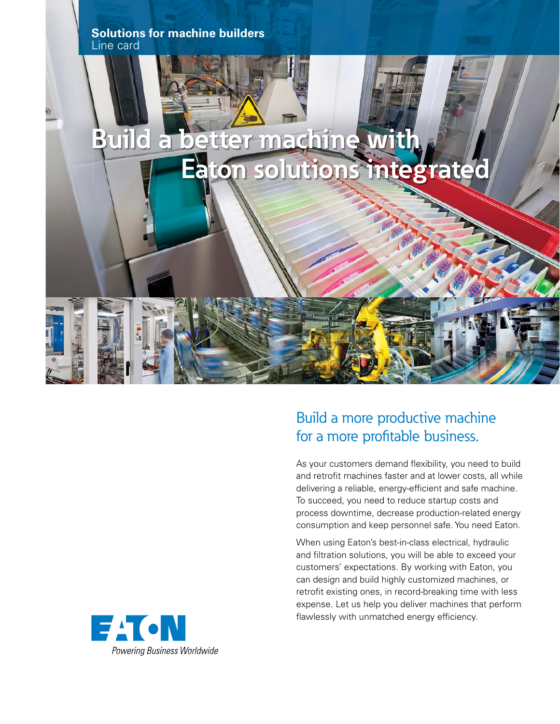

## Build a more productive machine for a more profitable business.

As your customers demand flexibility, you need to build and retrofit machines faster and at lower costs, all while delivering a reliable, energy-efficient and safe machine. To succeed, you need to reduce startup costs and process downtime, decrease production-related energy consumption and keep personnel safe. You need Eaton.

When using Eaton's best-in-class electrical, hydraulic and filtration solutions, you will be able to exceed your customers' expectations. By working with Eaton, you can design and build highly customized machines, or retrofit existing ones, in record-breaking time with less expense. Let us help you deliver machines that perform flawlessly with unmatched energy efficiency.

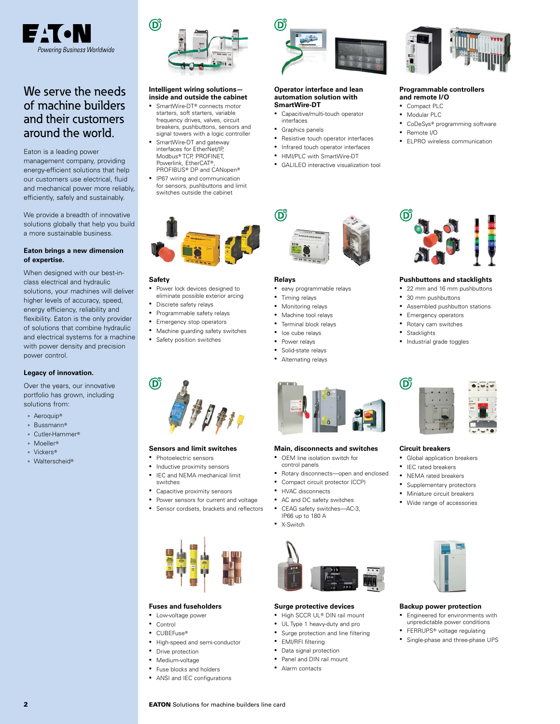

### We serve the needs of machine builders and their customers around the world.

Eaton is a leading power management company, providing energy-efficient solutions that help our customers use electrical, fluid and mechanical power more reliably, efficiently, safely and sustainably.

We provide a breadth of innovative solutions globally that help you build a more sustainable business.

#### **Eaton brings a new dimension of expertise.**

When designed with our best-inclass electrical and hydraulic solutions, your machines will deliver higher levels of accuracy, speed, energy efficiency, reliability and flexibility. Eaton is the only provider of solutions that combine hydraulic and electrical systems for a machine with power density and precision power control.

#### **Legacy of innovation.**

Over the years, our innovative portfolio has grown, including solutions from:

- Aeroquip<sup>®</sup>
- Bussmann
- Cutler-Hammer
- Moeller
- Vickers
- Walterscheid®



#### **Intelligent wiring solutions inside and outside the cabinet**

- SmartWire-DT<sup>®</sup> connects motor starters, soft starters, variable frequency drives, valves, circuit breakers, pushbuttons, sensors and
- signal towers with a logic controller SmartWire-DT and gateway interfaces for EtherNet/IP, Modbus® TCP, PROFINET, Powerlink, EtherCAT® PROFIBUS<sup>®</sup> DP and CANopen<sup>®</sup>
- IP67 wiring and communication for sensors, pushbuttons and limit switches outside the cabinet



#### **Safety**

 $\mathsf{D}^{\!\mathsf{G}}$ 

- Power lock devices designed to eliminate possible exterior arcing
- Discrete safety relays
- Programmable safety relays
- Emergency stop operators • Machine guarding safety switches

**Fuses and fuseholders** • Low-voltage power • Control • CUBEFuse®

• Drive protection • Medium-voltage • Fuse blocks and holders • ANSI and IEC configurations

**2 EATON** Solutions for machine builders line card

• High-speed and semi-conductor

• Safety position switches

**Sensors and limit switches** • Photoelectric sensors • Inductive proximity sensors • IEC and NEMA mechanical limit

• Capacitive proximity sensors • Power sensors for current and voltage • Sensor cordsets, brackets and reflectors

switches



#### **Operator interface and lean automation solution with SmartWire-DT**

- Capacitive/multi-touch operator interfaces
- Graphics panels
- 
- Resistive touch operator interfaces
- Infrared touch operator interfaces • HMI/PLC with SmartWire-DT
- GALILEO interactive visualization tool



#### **Programmable controllers and remote I/O**

- Compact PLC
- Modular PLC
- CoDeSys® programming software
- Remote I/O
- ELPRO wireless communication



#### **Relays**

- easy programmable relays
- Timing relays
- Monitoring relays • Machine tool relays
- Terminal block relays
- Ice cube relays
- Power relays
- Solid-state relays
- Alternating relays



#### **Main, disconnects and switches**

- OEM line isolation switch for control panels
- Rotary disconnects—open and enclosed
- Compact circuit protector (CCP)
- **HVAC** disconnects
- AC and DC safety switches
- CEAG safety switches—AC-3, IP66 up to 180 A • X-Switch



#### **Surge protective devices**

- High SCCR UL® DIN rail mount
- UL Type 1 heavy-duty and pro
- Surge protection and line filtering
- EMI/RFI filtering
- 
- 
- 



#### **Pushbuttons and stacklights**

- 22 mm and 16 mm pushbuttons
- 30 mm pushbuttons
- Assembled pushbutton stations
- Emergency operators
- Rotary cam switches
- **Stacklights**

 $\mathbf{G}^{\mathsf{c}}$ 

• Industrial grade toggles



#### **Circuit breakers**

- Global application breakers
- IEC rated breakers
- NEMA rated breakers
- Supplementary protectors
- Miniature circuit breakers
- Wide range of accessories



#### **Backup power protection**

- Engineered for environments with unpredictable power conditions
- FERRUPS<sup>®</sup> voltage regulating • Single-phase and three-phase UPS
- Data signal protection
- Panel and DIN rail mount
- Alarm contacts
- 





- 
- -
	-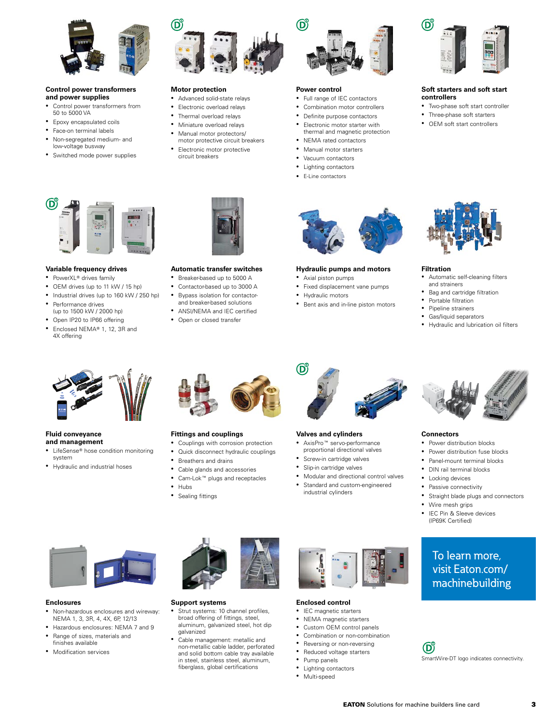

#### **Control power transformers and power supplies**

- Control power transformers from 50 to 5000 VA
- Epoxy encapsulated coils
- Face-on terminal labels
- Non-segregated medium- and low-voltage busway
- Switched mode power supplies



#### **Variable frequency drives**

- PowerXL® drives family
- OEM drives (up to 11 kW / 15 hp)
- Industrial drives (up to 160 kW / 250 hp)
- Performance drives (up to 1500 kW / 2000 hp)
- Open IP20 to IP66 offering
- Enclosed NEMA<sup>®</sup> 1, 12, 3R and 4X offering



#### **Motor protection**

- Advanced solid-state relays
- Electronic overload relays
- Thermal overload relays
- Miniature overload relays
- Manual motor protectors/ motor protective circuit breakers
- Electronic motor protective circuit breakers

**Automatic transfer switches** • Breaker-based up to 5000 A • Contactor-based up to 3000 A • Bypass isolation for contactorand breaker-based solutions • ANSI/NEMA and IEC certified • Open or closed transfer



#### **Power control**

- Full range of IEC contactors
- Combination motor controllers
- Definite purpose contactors Electronic motor starter with thermal and magnetic protection
- NEMA rated contactors
- Manual motor starters
- Vacuum contactors
- Lighting contactors
- E-Line contactors



#### **Hydraulic pumps and motors**

• Axial piston pumps

௵

- Fixed displacement vane pumps
- Hydraulic motors
- Bent axis and in-line piston motors



#### **Soft starters and soft start controllers**

- Two-phase soft start controller
- Three-phase soft starters
- OEM soft start controllers



#### **Filtration**

- Automatic self-cleaning filters and strainers
- Bag and cartridge filtration
- Portable filtration
- Pipeline strainers
- Gas/liquid separators
- Hydraulic and lubrication oil filters



**Fluid conveyance and management**

- LifeSense® hose condition monitoring system
- Hydraulic and industrial hoses



#### **Fittings and couplings**

- Couplings with corrosion protection
- Quick disconnect hydraulic couplings
- Breathers and drains • Cable glands and accessories
- Cam-Lok<sup>™</sup> plugs and receptacles
- Hubs
- Sealing fittings



#### **Valves and cylinders**

- AxisPro<sup>™</sup> servo-performance proportional directional valves
- 
- Screw-in cartridge valves
- Slip-in cartridge valves
- Modular and directional control valves
- Standard and custom-engineered industrial cylinders



#### **Enclosures**

- Non-hazardous enclosures and wireway: NEMA 1, 3, 3R, 4, 4X, 6P, 12/13
- Hazardous enclosures: NEMA 7 and 9 • Range of sizes, materials and finishes available
- Modification services



#### **Support systems**

- Strut systems: 10 channel profiles, broad offering of fittings, steel, aluminum, galvanized steel, hot dip galvanized
- Cable management: metallic and non-metallic cable ladder, perforated and solid bottom cable tray available in steel, stainless steel, aluminum, fiberglass, global certifications



#### **Enclosed control**

- IEC magnetic starters • NEMA magnetic starters
- Custom OEM control panels
- 
- Combination or non-combination
- Reversing or non-reversing Reduced voltage starters
- Pump panels
- Lighting contactors
- Multi-speed



#### **Connectors**

- Power distribution blocks
- Power distribution fuse blocks
- Panel-mount terminal blocks
- DIN rail terminal blocks
- Locking devices
- Passive connectivity

• Wire mesh grips • IEC Pin & Sleeve devices (IP69K Certified)

• Straight blade plugs and connectors

To learn more, visit Eaton.com/ machinebuilding

SmartWire-DT logo indicates connectivity.

**EATON** Solutions for machine builders line card 3

 $\mathbf{D}^{\mathrm{c}}$